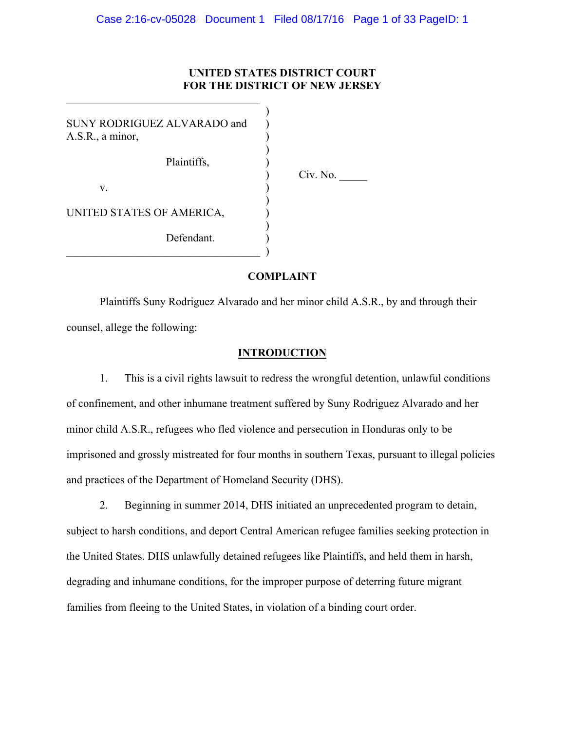# **UNITED STATES DISTRICT COURT FOR THE DISTRICT OF NEW JERSEY**

| SUNY RODRIGUEZ ALVARADO and<br>A.S.R., a minor, |          |
|-------------------------------------------------|----------|
| Plaintiffs,                                     | Civ. No. |
| V.                                              |          |
| UNITED STATES OF AMERICA,                       |          |
| Defendant.                                      |          |

 $\mathcal{L}_\text{max}$  , where  $\mathcal{L}_\text{max}$  and  $\mathcal{L}_\text{max}$  and  $\mathcal{L}_\text{max}$ 

# **COMPLAINT**

Plaintiffs Suny Rodriguez Alvarado and her minor child A.S.R., by and through their counsel, allege the following:

# **INTRODUCTION**

1. This is a civil rights lawsuit to redress the wrongful detention, unlawful conditions of confinement, and other inhumane treatment suffered by Suny Rodriguez Alvarado and her minor child A.S.R., refugees who fled violence and persecution in Honduras only to be imprisoned and grossly mistreated for four months in southern Texas, pursuant to illegal policies and practices of the Department of Homeland Security (DHS).

2. Beginning in summer 2014, DHS initiated an unprecedented program to detain, subject to harsh conditions, and deport Central American refugee families seeking protection in the United States. DHS unlawfully detained refugees like Plaintiffs, and held them in harsh, degrading and inhumane conditions, for the improper purpose of deterring future migrant families from fleeing to the United States, in violation of a binding court order.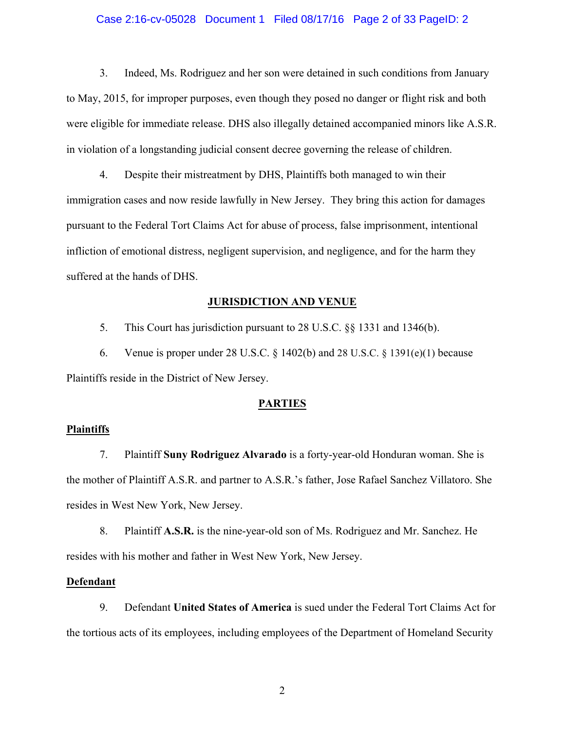#### Case 2:16-cv-05028 Document 1 Filed 08/17/16 Page 2 of 33 PageID: 2

3. Indeed, Ms. Rodriguez and her son were detained in such conditions from January to May, 2015, for improper purposes, even though they posed no danger or flight risk and both were eligible for immediate release. DHS also illegally detained accompanied minors like A.S.R. in violation of a longstanding judicial consent decree governing the release of children.

4. Despite their mistreatment by DHS, Plaintiffs both managed to win their immigration cases and now reside lawfully in New Jersey. They bring this action for damages pursuant to the Federal Tort Claims Act for abuse of process, false imprisonment, intentional infliction of emotional distress, negligent supervision, and negligence, and for the harm they suffered at the hands of DHS.

## **JURISDICTION AND VENUE**

5. This Court has jurisdiction pursuant to 28 U.S.C. §§ 1331 and 1346(b).

6. Venue is proper under 28 U.S.C.  $\S$  1402(b) and 28 U.S.C.  $\S$  1391(e)(1) because Plaintiffs reside in the District of New Jersey.

#### **PARTIES**

# **Plaintiffs**

7. Plaintiff **Suny Rodriguez Alvarado** is a forty-year-old Honduran woman. She is the mother of Plaintiff A.S.R. and partner to A.S.R.'s father, Jose Rafael Sanchez Villatoro. She resides in West New York, New Jersey.

8. Plaintiff **A.S.R.** is the nine-year-old son of Ms. Rodriguez and Mr. Sanchez. He resides with his mother and father in West New York, New Jersey.

#### **Defendant**

9. Defendant **United States of America** is sued under the Federal Tort Claims Act for the tortious acts of its employees, including employees of the Department of Homeland Security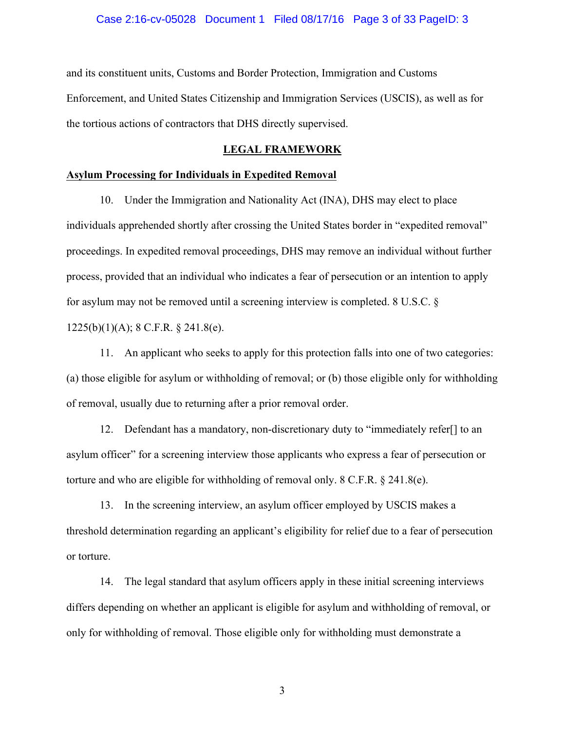#### Case 2:16-cv-05028 Document 1 Filed 08/17/16 Page 3 of 33 PageID: 3

and its constituent units, Customs and Border Protection, Immigration and Customs Enforcement, and United States Citizenship and Immigration Services (USCIS), as well as for the tortious actions of contractors that DHS directly supervised.

# **LEGAL FRAMEWORK**

# **Asylum Processing for Individuals in Expedited Removal**

10. Under the Immigration and Nationality Act (INA), DHS may elect to place individuals apprehended shortly after crossing the United States border in "expedited removal" proceedings. In expedited removal proceedings, DHS may remove an individual without further process, provided that an individual who indicates a fear of persecution or an intention to apply for asylum may not be removed until a screening interview is completed. 8 U.S.C. § 1225(b)(1)(A); 8 C.F.R. § 241.8(e).

11. An applicant who seeks to apply for this protection falls into one of two categories: (a) those eligible for asylum or withholding of removal; or (b) those eligible only for withholding of removal, usually due to returning after a prior removal order.

12. Defendant has a mandatory, non-discretionary duty to "immediately refer[] to an asylum officer" for a screening interview those applicants who express a fear of persecution or torture and who are eligible for withholding of removal only. 8 C.F.R.  $\S$  241.8(e).

13. In the screening interview, an asylum officer employed by USCIS makes a threshold determination regarding an applicant's eligibility for relief due to a fear of persecution or torture.

14. The legal standard that asylum officers apply in these initial screening interviews differs depending on whether an applicant is eligible for asylum and withholding of removal, or only for withholding of removal. Those eligible only for withholding must demonstrate a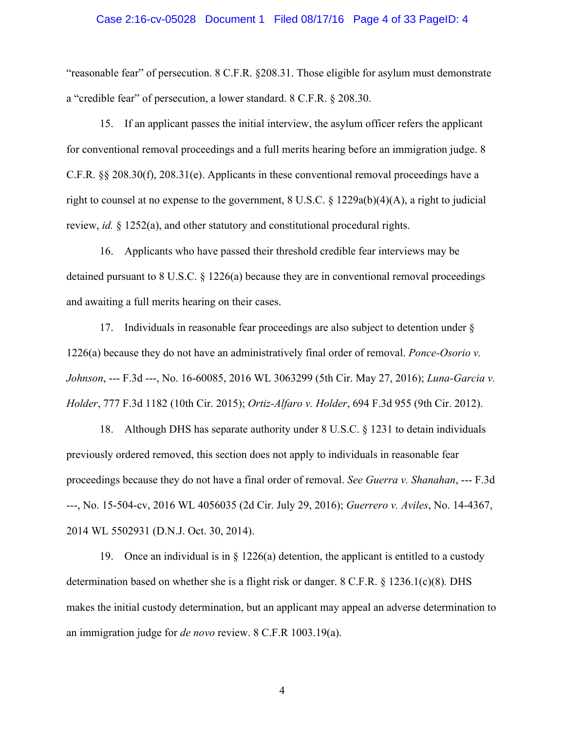#### Case 2:16-cv-05028 Document 1 Filed 08/17/16 Page 4 of 33 PageID: 4

"reasonable fear" of persecution. 8 C.F.R. §208.31. Those eligible for asylum must demonstrate a "credible fear" of persecution, a lower standard. 8 C.F.R. § 208.30.

15. If an applicant passes the initial interview, the asylum officer refers the applicant for conventional removal proceedings and a full merits hearing before an immigration judge. 8 C.F.R. §§ 208.30(f), 208.31(e). Applicants in these conventional removal proceedings have a right to counsel at no expense to the government,  $8 \text{ U.S.C.} \$   $\frac{1229a(b)(4)(A)}{A}$ , a right to judicial review, *id.* § 1252(a), and other statutory and constitutional procedural rights.

16. Applicants who have passed their threshold credible fear interviews may be detained pursuant to 8 U.S.C. § 1226(a) because they are in conventional removal proceedings and awaiting a full merits hearing on their cases.

17. Individuals in reasonable fear proceedings are also subject to detention under § 1226(a) because they do not have an administratively final order of removal. *Ponce-Osorio v. Johnson*, --- F.3d ---, No. 16-60085, 2016 WL 3063299 (5th Cir. May 27, 2016); *Luna-Garcia v. Holder*, 777 F.3d 1182 (10th Cir. 2015); *Ortiz-Alfaro v. Holder*, 694 F.3d 955 (9th Cir. 2012).

18. Although DHS has separate authority under 8 U.S.C. § 1231 to detain individuals previously ordered removed, this section does not apply to individuals in reasonable fear proceedings because they do not have a final order of removal. *See Guerra v. Shanahan*, --- F.3d ---, No. 15-504-cv, 2016 WL 4056035 (2d Cir. July 29, 2016); *Guerrero v. Aviles*, No. 14-4367, 2014 WL 5502931 (D.N.J. Oct. 30, 2014).

19. Once an individual is in § 1226(a) detention, the applicant is entitled to a custody determination based on whether she is a flight risk or danger. 8 C.F.R. § 1236.1(c)(8)*.* DHS makes the initial custody determination, but an applicant may appeal an adverse determination to an immigration judge for *de novo* review. 8 C.F.R 1003.19(a).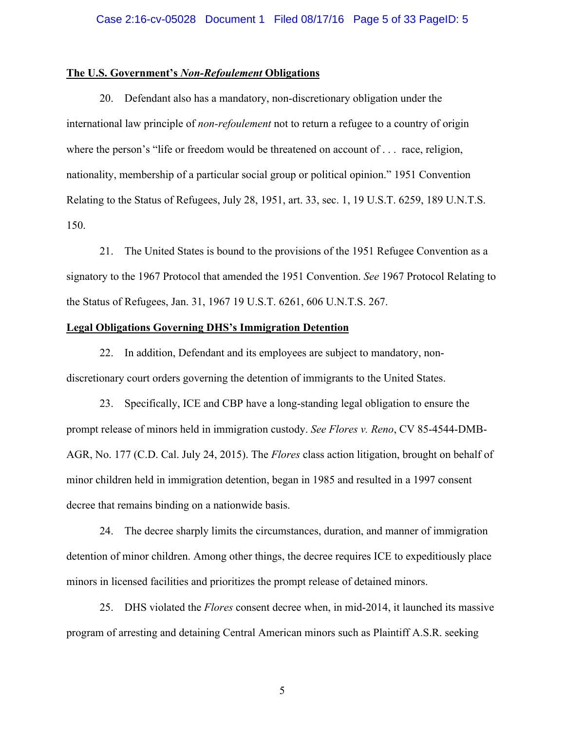#### Case 2:16-cv-05028 Document 1 Filed 08/17/16 Page 5 of 33 PageID: 5

#### **The U.S. Government's** *Non-Refoulement* **Obligations**

20. Defendant also has a mandatory, non-discretionary obligation under the international law principle of *non-refoulement* not to return a refugee to a country of origin where the person's "life or freedom would be threatened on account of . . . race, religion, nationality, membership of a particular social group or political opinion." 1951 Convention Relating to the Status of Refugees, July 28, 1951, art. 33, sec. 1, 19 U.S.T. 6259, 189 U.N.T.S. 150.

21. The United States is bound to the provisions of the 1951 Refugee Convention as a signatory to the 1967 Protocol that amended the 1951 Convention. *See* 1967 Protocol Relating to the Status of Refugees, Jan. 31, 1967 19 U.S.T. 6261, 606 U.N.T.S. 267.

## **Legal Obligations Governing DHS's Immigration Detention**

22. In addition, Defendant and its employees are subject to mandatory, nondiscretionary court orders governing the detention of immigrants to the United States.

23. Specifically, ICE and CBP have a long-standing legal obligation to ensure the prompt release of minors held in immigration custody. *See Flores v. Reno*, CV 85-4544-DMB-AGR, No. 177 (C.D. Cal. July 24, 2015). The *Flores* class action litigation, brought on behalf of minor children held in immigration detention, began in 1985 and resulted in a 1997 consent decree that remains binding on a nationwide basis.

24. The decree sharply limits the circumstances, duration, and manner of immigration detention of minor children. Among other things, the decree requires ICE to expeditiously place minors in licensed facilities and prioritizes the prompt release of detained minors.

25. DHS violated the *Flores* consent decree when, in mid-2014, it launched its massive program of arresting and detaining Central American minors such as Plaintiff A.S.R. seeking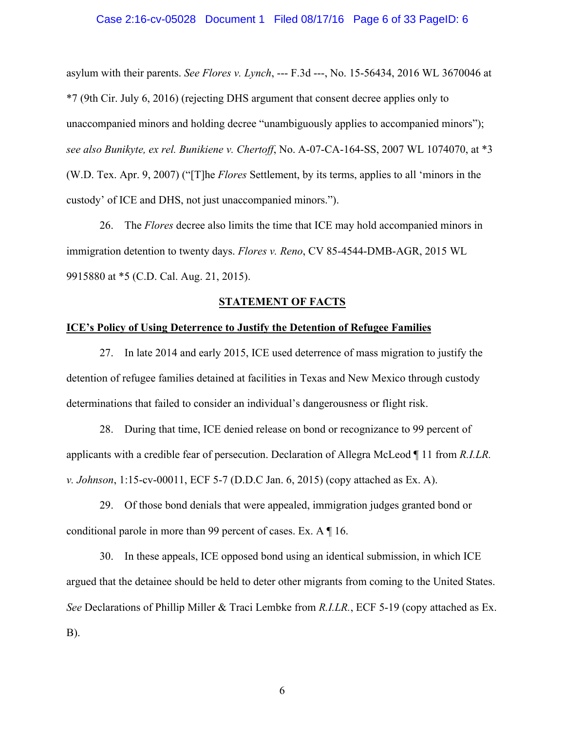#### Case 2:16-cv-05028 Document 1 Filed 08/17/16 Page 6 of 33 PageID: 6

asylum with their parents. *See Flores v. Lynch*, --- F.3d ---, No. 15-56434, 2016 WL 3670046 at \*7 (9th Cir. July 6, 2016) (rejecting DHS argument that consent decree applies only to unaccompanied minors and holding decree "unambiguously applies to accompanied minors"); *see also Bunikyte, ex rel. Bunikiene v. Chertoff*, No. A-07-CA-164-SS, 2007 WL 1074070, at \*3 (W.D. Tex. Apr. 9, 2007) ("[T]he *Flores* Settlement, by its terms, applies to all 'minors in the custody' of ICE and DHS, not just unaccompanied minors.").

26. The *Flores* decree also limits the time that ICE may hold accompanied minors in immigration detention to twenty days. *Flores v. Reno*, CV 85-4544-DMB-AGR, 2015 WL 9915880 at \*5 (C.D. Cal. Aug. 21, 2015).

#### **STATEMENT OF FACTS**

## **ICE's Policy of Using Deterrence to Justify the Detention of Refugee Families**

27. In late 2014 and early 2015, ICE used deterrence of mass migration to justify the detention of refugee families detained at facilities in Texas and New Mexico through custody determinations that failed to consider an individual's dangerousness or flight risk.

28. During that time, ICE denied release on bond or recognizance to 99 percent of applicants with a credible fear of persecution. Declaration of Allegra McLeod ¶ 11 from *R.I.LR. v. Johnson*, 1:15-cv-00011, ECF 5-7 (D.D.C Jan. 6, 2015) (copy attached as Ex. A).

29. Of those bond denials that were appealed, immigration judges granted bond or conditional parole in more than 99 percent of cases. Ex. A ¶ 16.

30. In these appeals, ICE opposed bond using an identical submission, in which ICE argued that the detainee should be held to deter other migrants from coming to the United States. *See* Declarations of Phillip Miller & Traci Lembke from *R.I.LR.*, ECF 5-19 (copy attached as Ex. B).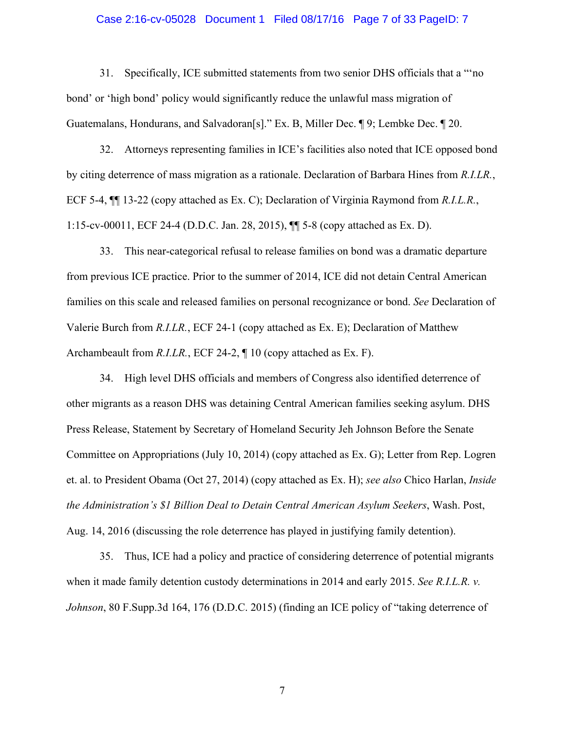#### Case 2:16-cv-05028 Document 1 Filed 08/17/16 Page 7 of 33 PageID: 7

31. Specifically, ICE submitted statements from two senior DHS officials that a "'no bond' or 'high bond' policy would significantly reduce the unlawful mass migration of Guatemalans, Hondurans, and Salvadoran[s]." Ex. B, Miller Dec. ¶ 9; Lembke Dec. ¶ 20.

32. Attorneys representing families in ICE's facilities also noted that ICE opposed bond by citing deterrence of mass migration as a rationale. Declaration of Barbara Hines from *R.I.LR.*, ECF 5-4, ¶¶ 13-22 (copy attached as Ex. C); Declaration of Virginia Raymond from *R.I.L.R.*, 1:15-cv-00011, ECF 24-4 (D.D.C. Jan. 28, 2015), ¶¶ 5-8 (copy attached as Ex. D).

33. This near-categorical refusal to release families on bond was a dramatic departure from previous ICE practice. Prior to the summer of 2014, ICE did not detain Central American families on this scale and released families on personal recognizance or bond. *See* Declaration of Valerie Burch from *R.I.LR.*, ECF 24-1 (copy attached as Ex. E); Declaration of Matthew Archambeault from *R.I.LR.*, ECF 24-2,  $\P$  10 (copy attached as Ex. F).

34. High level DHS officials and members of Congress also identified deterrence of other migrants as a reason DHS was detaining Central American families seeking asylum. DHS Press Release, Statement by Secretary of Homeland Security Jeh Johnson Before the Senate Committee on Appropriations (July 10, 2014) (copy attached as Ex. G); Letter from Rep. Logren et. al. to President Obama (Oct 27, 2014) (copy attached as Ex. H); *see also* Chico Harlan, *Inside the Administration's \$1 Billion Deal to Detain Central American Asylum Seekers*, Wash. Post, Aug. 14, 2016 (discussing the role deterrence has played in justifying family detention).

35. Thus, ICE had a policy and practice of considering deterrence of potential migrants when it made family detention custody determinations in 2014 and early 2015. *See R.I.L.R. v. Johnson*, 80 F.Supp.3d 164, 176 (D.D.C. 2015) (finding an ICE policy of "taking deterrence of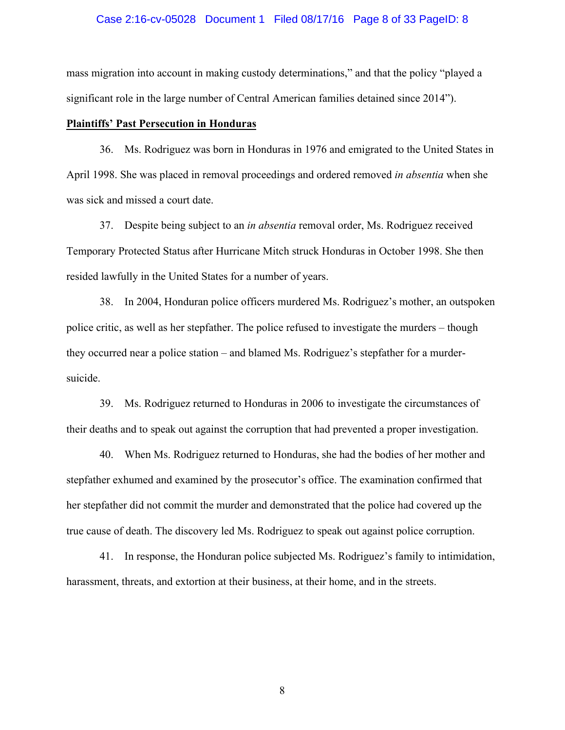#### Case 2:16-cv-05028 Document 1 Filed 08/17/16 Page 8 of 33 PageID: 8

mass migration into account in making custody determinations," and that the policy "played a significant role in the large number of Central American families detained since 2014").

# **Plaintiffs' Past Persecution in Honduras**

36. Ms. Rodriguez was born in Honduras in 1976 and emigrated to the United States in April 1998. She was placed in removal proceedings and ordered removed *in absentia* when she was sick and missed a court date.

37. Despite being subject to an *in absentia* removal order, Ms. Rodriguez received Temporary Protected Status after Hurricane Mitch struck Honduras in October 1998. She then resided lawfully in the United States for a number of years.

38. In 2004, Honduran police officers murdered Ms. Rodriguez's mother, an outspoken police critic, as well as her stepfather. The police refused to investigate the murders – though they occurred near a police station – and blamed Ms. Rodriguez's stepfather for a murdersuicide.

39. Ms. Rodriguez returned to Honduras in 2006 to investigate the circumstances of their deaths and to speak out against the corruption that had prevented a proper investigation.

40. When Ms. Rodriguez returned to Honduras, she had the bodies of her mother and stepfather exhumed and examined by the prosecutor's office. The examination confirmed that her stepfather did not commit the murder and demonstrated that the police had covered up the true cause of death. The discovery led Ms. Rodriguez to speak out against police corruption.

41. In response, the Honduran police subjected Ms. Rodriguez's family to intimidation, harassment, threats, and extortion at their business, at their home, and in the streets.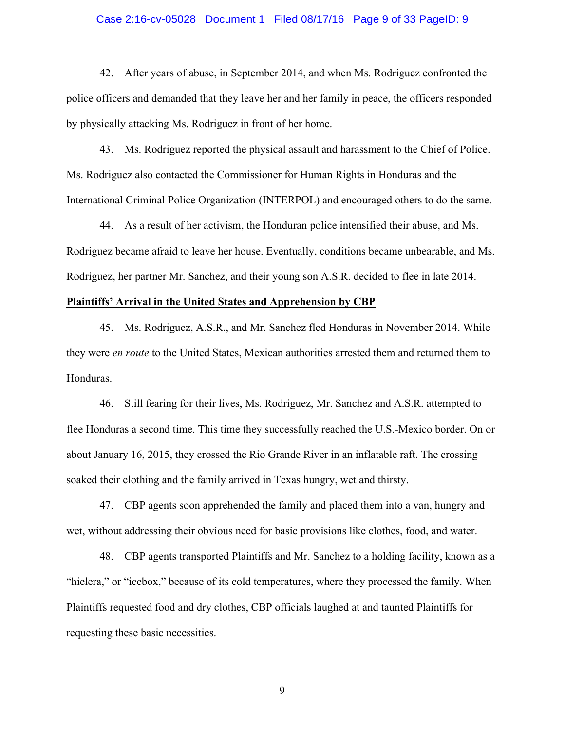#### Case 2:16-cv-05028 Document 1 Filed 08/17/16 Page 9 of 33 PageID: 9

42. After years of abuse, in September 2014, and when Ms. Rodriguez confronted the police officers and demanded that they leave her and her family in peace, the officers responded by physically attacking Ms. Rodriguez in front of her home.

43. Ms. Rodriguez reported the physical assault and harassment to the Chief of Police. Ms. Rodriguez also contacted the Commissioner for Human Rights in Honduras and the International Criminal Police Organization (INTERPOL) and encouraged others to do the same.

44. As a result of her activism, the Honduran police intensified their abuse, and Ms. Rodriguez became afraid to leave her house. Eventually, conditions became unbearable, and Ms. Rodriguez, her partner Mr. Sanchez, and their young son A.S.R. decided to flee in late 2014.

#### **Plaintiffs' Arrival in the United States and Apprehension by CBP**

45. Ms. Rodriguez, A.S.R., and Mr. Sanchez fled Honduras in November 2014. While they were *en route* to the United States, Mexican authorities arrested them and returned them to Honduras.

46. Still fearing for their lives, Ms. Rodriguez, Mr. Sanchez and A.S.R. attempted to flee Honduras a second time. This time they successfully reached the U.S.-Mexico border. On or about January 16, 2015, they crossed the Rio Grande River in an inflatable raft. The crossing soaked their clothing and the family arrived in Texas hungry, wet and thirsty.

47. CBP agents soon apprehended the family and placed them into a van, hungry and wet, without addressing their obvious need for basic provisions like clothes, food, and water.

48. CBP agents transported Plaintiffs and Mr. Sanchez to a holding facility, known as a "hielera," or "icebox," because of its cold temperatures, where they processed the family. When Plaintiffs requested food and dry clothes, CBP officials laughed at and taunted Plaintiffs for requesting these basic necessities.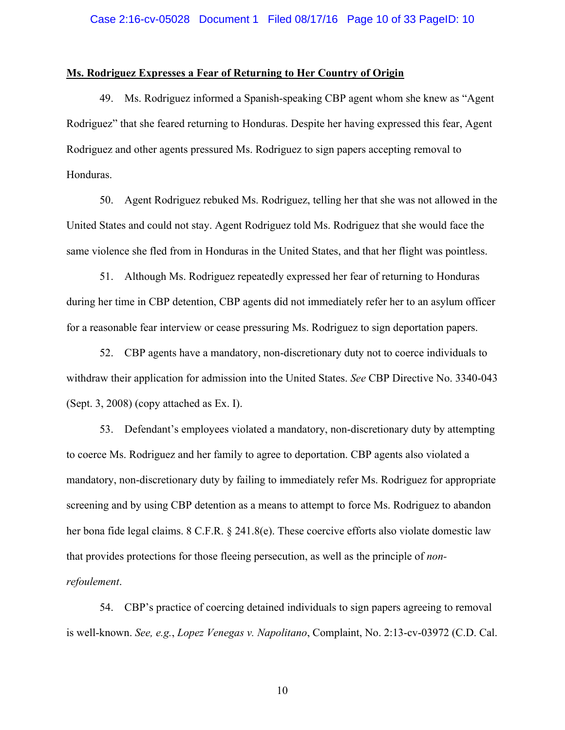# **Ms. Rodriguez Expresses a Fear of Returning to Her Country of Origin**

49. Ms. Rodriguez informed a Spanish-speaking CBP agent whom she knew as "Agent Rodriguez" that she feared returning to Honduras. Despite her having expressed this fear, Agent Rodriguez and other agents pressured Ms. Rodriguez to sign papers accepting removal to Honduras.

50. Agent Rodriguez rebuked Ms. Rodriguez, telling her that she was not allowed in the United States and could not stay. Agent Rodriguez told Ms. Rodriguez that she would face the same violence she fled from in Honduras in the United States, and that her flight was pointless.

51. Although Ms. Rodriguez repeatedly expressed her fear of returning to Honduras during her time in CBP detention, CBP agents did not immediately refer her to an asylum officer for a reasonable fear interview or cease pressuring Ms. Rodriguez to sign deportation papers.

52. CBP agents have a mandatory, non-discretionary duty not to coerce individuals to withdraw their application for admission into the United States. *See* CBP Directive No. 3340-043 (Sept. 3, 2008) (copy attached as Ex. I).

53. Defendant's employees violated a mandatory, non-discretionary duty by attempting to coerce Ms. Rodriguez and her family to agree to deportation. CBP agents also violated a mandatory, non-discretionary duty by failing to immediately refer Ms. Rodriguez for appropriate screening and by using CBP detention as a means to attempt to force Ms. Rodriguez to abandon her bona fide legal claims. 8 C.F.R. § 241.8(e). These coercive efforts also violate domestic law that provides protections for those fleeing persecution, as well as the principle of *nonrefoulement*.

54. CBP's practice of coercing detained individuals to sign papers agreeing to removal is well-known. *See, e.g.*, *Lopez Venegas v. Napolitano*, Complaint, No. 2:13-cv-03972 (C.D. Cal.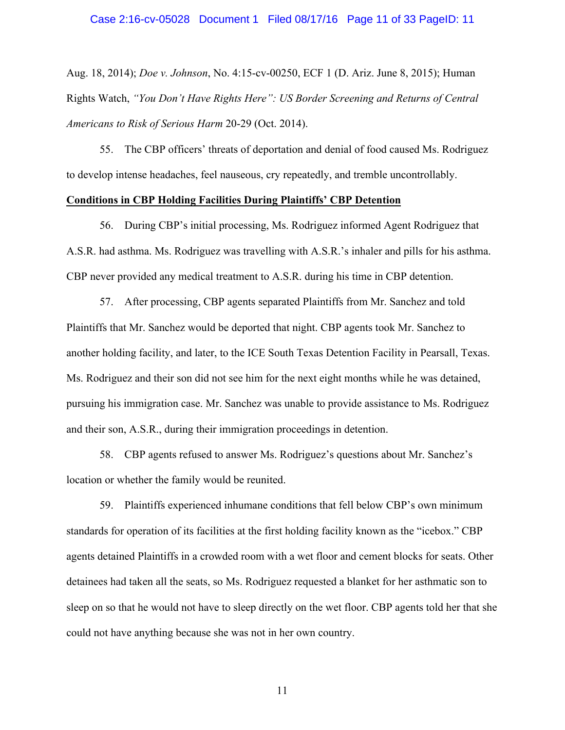## Case 2:16-cv-05028 Document 1 Filed 08/17/16 Page 11 of 33 PageID: 11

Aug. 18, 2014); *Doe v. Johnson*, No. 4:15-cv-00250, ECF 1 (D. Ariz. June 8, 2015); Human Rights Watch, *"You Don't Have Rights Here": US Border Screening and Returns of Central Americans to Risk of Serious Harm* 20-29 (Oct. 2014).

55. The CBP officers' threats of deportation and denial of food caused Ms. Rodriguez to develop intense headaches, feel nauseous, cry repeatedly, and tremble uncontrollably.

# **Conditions in CBP Holding Facilities During Plaintiffs' CBP Detention**

56. During CBP's initial processing, Ms. Rodriguez informed Agent Rodriguez that A.S.R. had asthma. Ms. Rodriguez was travelling with A.S.R.'s inhaler and pills for his asthma. CBP never provided any medical treatment to A.S.R. during his time in CBP detention.

57. After processing, CBP agents separated Plaintiffs from Mr. Sanchez and told Plaintiffs that Mr. Sanchez would be deported that night. CBP agents took Mr. Sanchez to another holding facility, and later, to the ICE South Texas Detention Facility in Pearsall, Texas. Ms. Rodriguez and their son did not see him for the next eight months while he was detained, pursuing his immigration case. Mr. Sanchez was unable to provide assistance to Ms. Rodriguez and their son, A.S.R., during their immigration proceedings in detention.

58. CBP agents refused to answer Ms. Rodriguez's questions about Mr. Sanchez's location or whether the family would be reunited.

59. Plaintiffs experienced inhumane conditions that fell below CBP's own minimum standards for operation of its facilities at the first holding facility known as the "icebox." CBP agents detained Plaintiffs in a crowded room with a wet floor and cement blocks for seats. Other detainees had taken all the seats, so Ms. Rodriguez requested a blanket for her asthmatic son to sleep on so that he would not have to sleep directly on the wet floor. CBP agents told her that she could not have anything because she was not in her own country.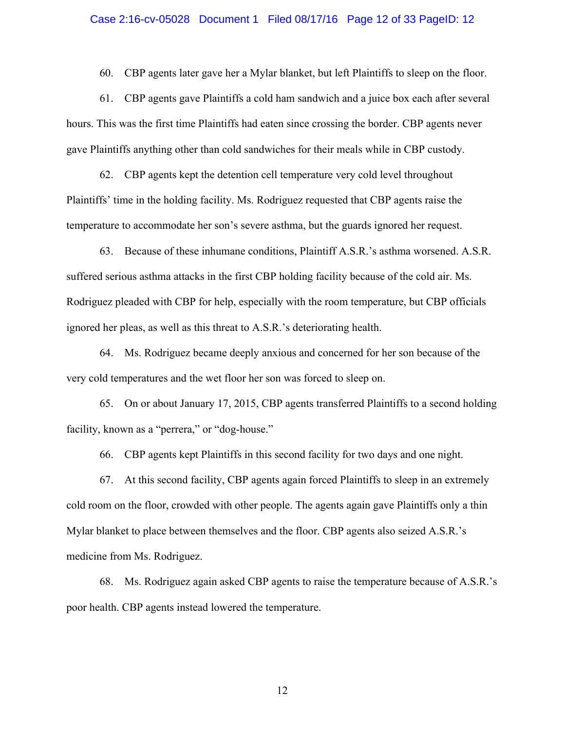## Case 2:16-cv-05028 Document 1 Filed 08/17/16 Page 12 of 33 PageID: 12

60. CBP agents later gave her a Mylar blanket, but left Plaintiffs to sleep on the floor.

61. CBP agents gave Plaintiffs a cold ham sandwich and a juice box each after several hours. This was the first time Plaintiffs had eaten since crossing the border. CBP agents never gave Plaintiffs anything other than cold sandwiches for their meals while in CBP custody.

62. CBP agents kept the detention cell temperature very cold level throughout Plaintiffs' time in the holding facility. Ms. Rodriguez requested that CBP agents raise the temperature to accommodate her son's severe asthma, but the guards ignored her request.

63. Because of these inhumane conditions, Plaintiff A.S.R.'s asthma worsened. A.S.R. suffered serious asthma attacks in the first CBP holding facility because of the cold air. Ms. Rodriguez pleaded with CBP for help, especially with the room temperature, but CBP officials ignored her pleas, as well as this threat to A.S.R.'s deteriorating health.

64. Ms. Rodriguez became deeply anxious and concerned for her son because of the very cold temperatures and the wet floor her son was forced to sleep on.

65. On or about January 17, 2015, CBP agents transferred Plaintiffs to a second holding facility, known as a "perrera," or "dog-house."

66. CBP agents kept Plaintiffs in this second facility for two days and one night.

67. At this second facility, CBP agents again forced Plaintiffs to sleep in an extremely cold room on the floor, crowded with other people. The agents again gave Plaintiffs only a thin Mylar blanket to place between themselves and the floor. CBP agents also seized A.S.R.'s medicine from Ms. Rodriguez.

68. Ms. Rodriguez again asked CBP agents to raise the temperature because of A.S.R.'s poor health. CBP agents instead lowered the temperature.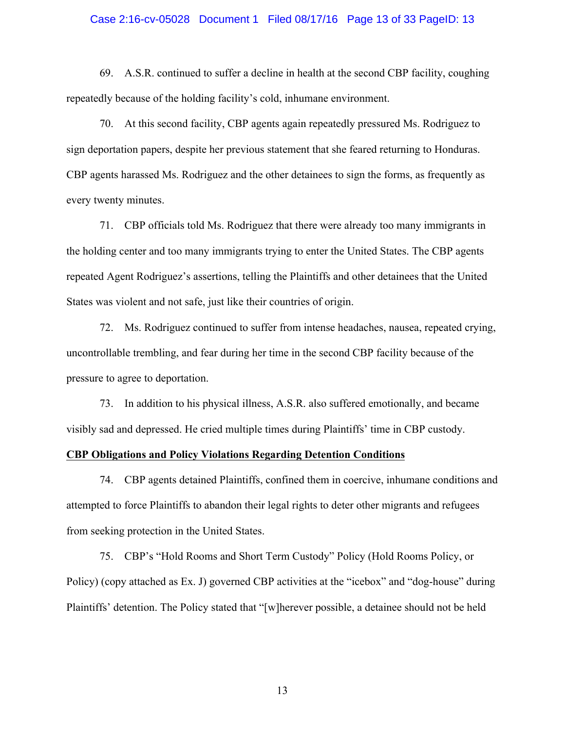## Case 2:16-cv-05028 Document 1 Filed 08/17/16 Page 13 of 33 PageID: 13

69. A.S.R. continued to suffer a decline in health at the second CBP facility, coughing repeatedly because of the holding facility's cold, inhumane environment.

70. At this second facility, CBP agents again repeatedly pressured Ms. Rodriguez to sign deportation papers, despite her previous statement that she feared returning to Honduras. CBP agents harassed Ms. Rodriguez and the other detainees to sign the forms, as frequently as every twenty minutes.

71. CBP officials told Ms. Rodriguez that there were already too many immigrants in the holding center and too many immigrants trying to enter the United States. The CBP agents repeated Agent Rodriguez's assertions, telling the Plaintiffs and other detainees that the United States was violent and not safe, just like their countries of origin.

72. Ms. Rodriguez continued to suffer from intense headaches, nausea, repeated crying, uncontrollable trembling, and fear during her time in the second CBP facility because of the pressure to agree to deportation.

73. In addition to his physical illness, A.S.R. also suffered emotionally, and became visibly sad and depressed. He cried multiple times during Plaintiffs' time in CBP custody.

# **CBP Obligations and Policy Violations Regarding Detention Conditions**

74. CBP agents detained Plaintiffs, confined them in coercive, inhumane conditions and attempted to force Plaintiffs to abandon their legal rights to deter other migrants and refugees from seeking protection in the United States.

75. CBP's "Hold Rooms and Short Term Custody" Policy (Hold Rooms Policy, or Policy) (copy attached as Ex. J) governed CBP activities at the "icebox" and "dog-house" during Plaintiffs' detention. The Policy stated that "[w]herever possible, a detainee should not be held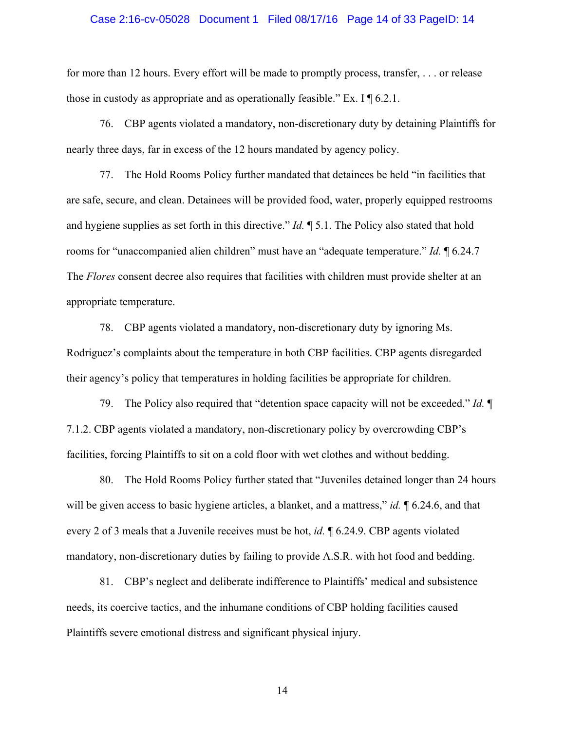## Case 2:16-cv-05028 Document 1 Filed 08/17/16 Page 14 of 33 PageID: 14

for more than 12 hours. Every effort will be made to promptly process, transfer, . . . or release those in custody as appropriate and as operationally feasible." Ex. I  $\P$  6.2.1.

76. CBP agents violated a mandatory, non-discretionary duty by detaining Plaintiffs for nearly three days, far in excess of the 12 hours mandated by agency policy.

77. The Hold Rooms Policy further mandated that detainees be held "in facilities that are safe, secure, and clean. Detainees will be provided food, water, properly equipped restrooms and hygiene supplies as set forth in this directive." *Id.* ¶ 5.1. The Policy also stated that hold rooms for "unaccompanied alien children" must have an "adequate temperature." *Id.* ¶ 6.24.7 The *Flores* consent decree also requires that facilities with children must provide shelter at an appropriate temperature.

78. CBP agents violated a mandatory, non-discretionary duty by ignoring Ms. Rodriguez's complaints about the temperature in both CBP facilities. CBP agents disregarded their agency's policy that temperatures in holding facilities be appropriate for children.

79. The Policy also required that "detention space capacity will not be exceeded." *Id.* ¶ 7.1.2. CBP agents violated a mandatory, non-discretionary policy by overcrowding CBP's facilities, forcing Plaintiffs to sit on a cold floor with wet clothes and without bedding.

80. The Hold Rooms Policy further stated that "Juveniles detained longer than 24 hours will be given access to basic hygiene articles, a blanket, and a mattress," *id.*  $\sim$  6.24.6, and that every 2 of 3 meals that a Juvenile receives must be hot, *id.* ¶ 6.24.9. CBP agents violated mandatory, non-discretionary duties by failing to provide A.S.R. with hot food and bedding.

81. CBP's neglect and deliberate indifference to Plaintiffs' medical and subsistence needs, its coercive tactics, and the inhumane conditions of CBP holding facilities caused Plaintiffs severe emotional distress and significant physical injury.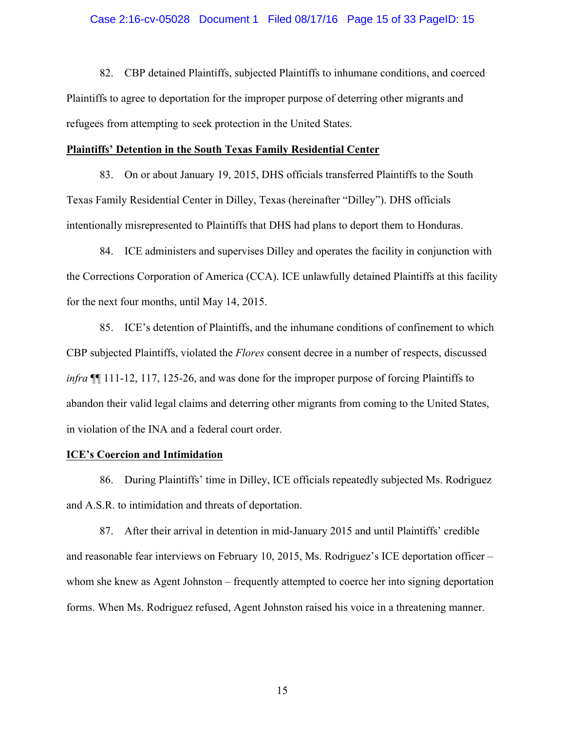## Case 2:16-cv-05028 Document 1 Filed 08/17/16 Page 15 of 33 PageID: 15

82. CBP detained Plaintiffs, subjected Plaintiffs to inhumane conditions, and coerced Plaintiffs to agree to deportation for the improper purpose of deterring other migrants and refugees from attempting to seek protection in the United States.

#### **Plaintiffs' Detention in the South Texas Family Residential Center**

83. On or about January 19, 2015, DHS officials transferred Plaintiffs to the South Texas Family Residential Center in Dilley, Texas (hereinafter "Dilley"). DHS officials intentionally misrepresented to Plaintiffs that DHS had plans to deport them to Honduras.

84. ICE administers and supervises Dilley and operates the facility in conjunction with the Corrections Corporation of America (CCA). ICE unlawfully detained Plaintiffs at this facility for the next four months, until May 14, 2015.

85. ICE's detention of Plaintiffs, and the inhumane conditions of confinement to which CBP subjected Plaintiffs, violated the *Flores* consent decree in a number of respects, discussed *infra* ¶¶ 111-12, 117, 125-26, and was done for the improper purpose of forcing Plaintiffs to abandon their valid legal claims and deterring other migrants from coming to the United States, in violation of the INA and a federal court order.

# **ICE's Coercion and Intimidation**

86. During Plaintiffs' time in Dilley, ICE officials repeatedly subjected Ms. Rodriguez and A.S.R. to intimidation and threats of deportation.

87. After their arrival in detention in mid-January 2015 and until Plaintiffs' credible and reasonable fear interviews on February 10, 2015, Ms. Rodriguez's ICE deportation officer – whom she knew as Agent Johnston – frequently attempted to coerce her into signing deportation forms. When Ms. Rodriguez refused, Agent Johnston raised his voice in a threatening manner.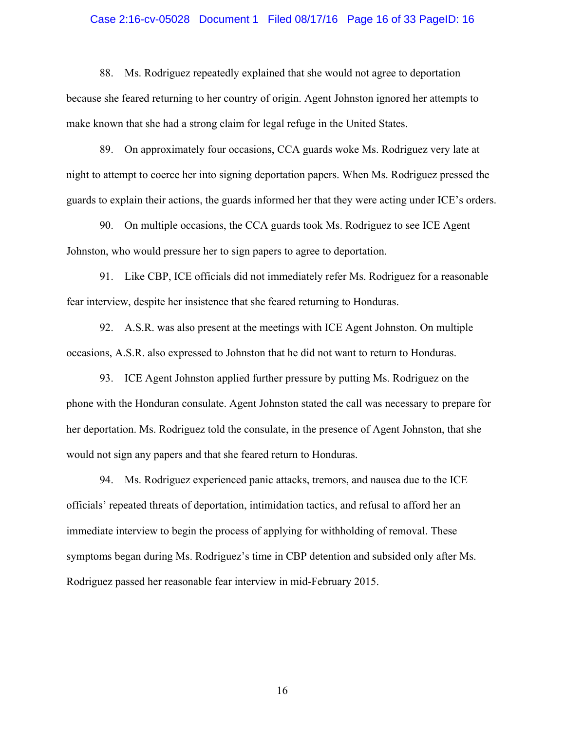## Case 2:16-cv-05028 Document 1 Filed 08/17/16 Page 16 of 33 PageID: 16

88. Ms. Rodriguez repeatedly explained that she would not agree to deportation because she feared returning to her country of origin. Agent Johnston ignored her attempts to make known that she had a strong claim for legal refuge in the United States.

89. On approximately four occasions, CCA guards woke Ms. Rodriguez very late at night to attempt to coerce her into signing deportation papers. When Ms. Rodriguez pressed the guards to explain their actions, the guards informed her that they were acting under ICE's orders.

90. On multiple occasions, the CCA guards took Ms. Rodriguez to see ICE Agent Johnston, who would pressure her to sign papers to agree to deportation.

91. Like CBP, ICE officials did not immediately refer Ms. Rodriguez for a reasonable fear interview, despite her insistence that she feared returning to Honduras.

92. A.S.R. was also present at the meetings with ICE Agent Johnston. On multiple occasions, A.S.R. also expressed to Johnston that he did not want to return to Honduras.

93. ICE Agent Johnston applied further pressure by putting Ms. Rodriguez on the phone with the Honduran consulate. Agent Johnston stated the call was necessary to prepare for her deportation. Ms. Rodriguez told the consulate, in the presence of Agent Johnston, that she would not sign any papers and that she feared return to Honduras.

94. Ms. Rodriguez experienced panic attacks, tremors, and nausea due to the ICE officials' repeated threats of deportation, intimidation tactics, and refusal to afford her an immediate interview to begin the process of applying for withholding of removal. These symptoms began during Ms. Rodriguez's time in CBP detention and subsided only after Ms. Rodriguez passed her reasonable fear interview in mid-February 2015.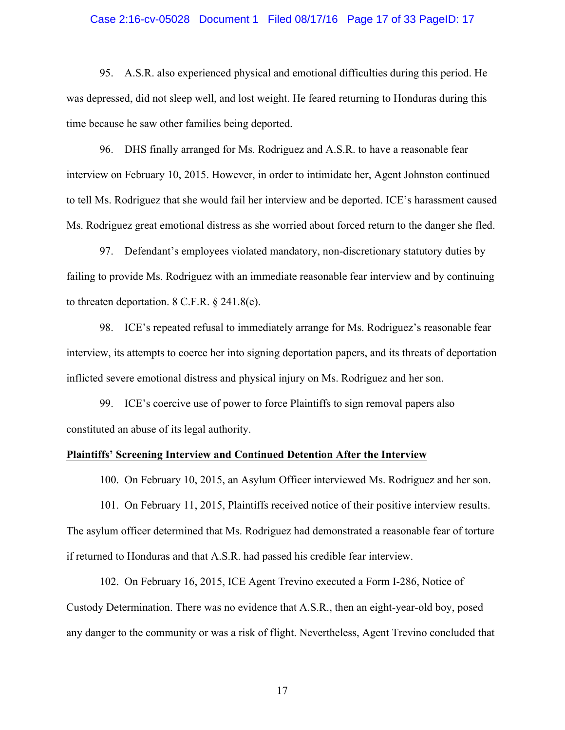## Case 2:16-cv-05028 Document 1 Filed 08/17/16 Page 17 of 33 PageID: 17

95. A.S.R. also experienced physical and emotional difficulties during this period. He was depressed, did not sleep well, and lost weight. He feared returning to Honduras during this time because he saw other families being deported.

96. DHS finally arranged for Ms. Rodriguez and A.S.R. to have a reasonable fear interview on February 10, 2015. However, in order to intimidate her, Agent Johnston continued to tell Ms. Rodriguez that she would fail her interview and be deported. ICE's harassment caused Ms. Rodriguez great emotional distress as she worried about forced return to the danger she fled.

97. Defendant's employees violated mandatory, non-discretionary statutory duties by failing to provide Ms. Rodriguez with an immediate reasonable fear interview and by continuing to threaten deportation. 8 C.F.R. § 241.8(e).

98. ICE's repeated refusal to immediately arrange for Ms. Rodriguez's reasonable fear interview, its attempts to coerce her into signing deportation papers, and its threats of deportation inflicted severe emotional distress and physical injury on Ms. Rodriguez and her son.

99. ICE's coercive use of power to force Plaintiffs to sign removal papers also constituted an abuse of its legal authority.

# **Plaintiffs' Screening Interview and Continued Detention After the Interview**

100. On February 10, 2015, an Asylum Officer interviewed Ms. Rodriguez and her son.

101. On February 11, 2015, Plaintiffs received notice of their positive interview results. The asylum officer determined that Ms. Rodriguez had demonstrated a reasonable fear of torture if returned to Honduras and that A.S.R. had passed his credible fear interview.

102. On February 16, 2015, ICE Agent Trevino executed a Form I-286, Notice of Custody Determination. There was no evidence that A.S.R., then an eight-year-old boy, posed any danger to the community or was a risk of flight. Nevertheless, Agent Trevino concluded that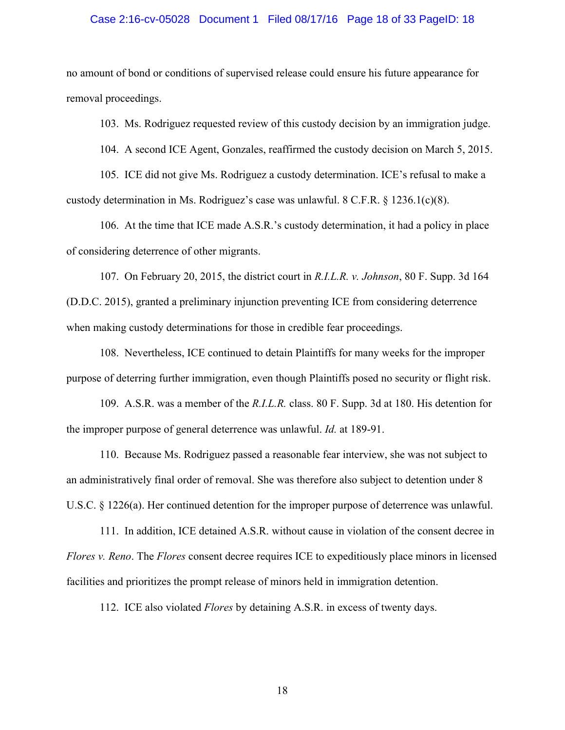## Case 2:16-cv-05028 Document 1 Filed 08/17/16 Page 18 of 33 PageID: 18

no amount of bond or conditions of supervised release could ensure his future appearance for removal proceedings.

103. Ms. Rodriguez requested review of this custody decision by an immigration judge.

104. A second ICE Agent, Gonzales, reaffirmed the custody decision on March 5, 2015.

105. ICE did not give Ms. Rodriguez a custody determination. ICE's refusal to make a custody determination in Ms. Rodriguez's case was unlawful. 8 C.F.R. § 1236.1(c)(8).

106. At the time that ICE made A.S.R.'s custody determination, it had a policy in place of considering deterrence of other migrants.

107. On February 20, 2015, the district court in *R.I.L.R. v. Johnson*, 80 F. Supp. 3d 164 (D.D.C. 2015), granted a preliminary injunction preventing ICE from considering deterrence when making custody determinations for those in credible fear proceedings.

108. Nevertheless, ICE continued to detain Plaintiffs for many weeks for the improper purpose of deterring further immigration, even though Plaintiffs posed no security or flight risk.

109. A.S.R. was a member of the *R.I.L.R.* class. 80 F. Supp. 3d at 180. His detention for the improper purpose of general deterrence was unlawful. *Id.* at 189-91.

110. Because Ms. Rodriguez passed a reasonable fear interview, she was not subject to an administratively final order of removal. She was therefore also subject to detention under 8 U.S.C. § 1226(a). Her continued detention for the improper purpose of deterrence was unlawful.

111. In addition, ICE detained A.S.R. without cause in violation of the consent decree in *Flores v. Reno*. The *Flores* consent decree requires ICE to expeditiously place minors in licensed facilities and prioritizes the prompt release of minors held in immigration detention.

112. ICE also violated *Flores* by detaining A.S.R. in excess of twenty days.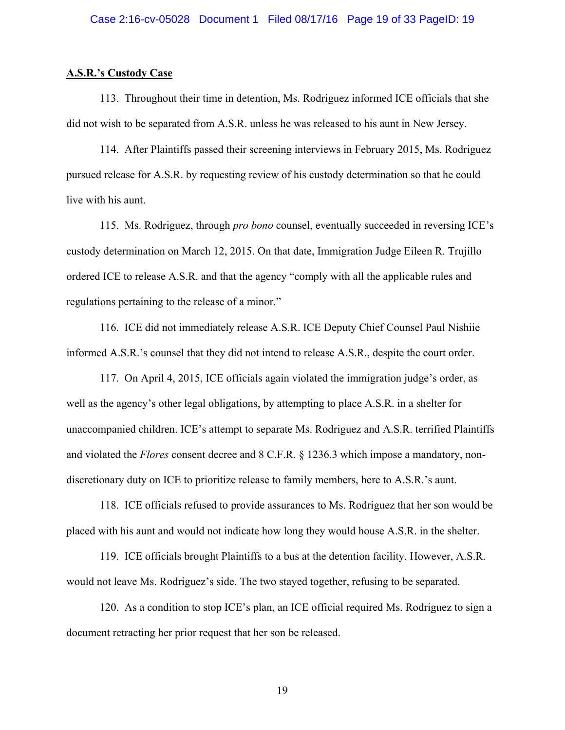## Case 2:16-cv-05028 Document 1 Filed 08/17/16 Page 19 of 33 PageID: 19

#### **A.S.R.'s Custody Case**

113. Throughout their time in detention, Ms. Rodriguez informed ICE officials that she did not wish to be separated from A.S.R. unless he was released to his aunt in New Jersey.

114. After Plaintiffs passed their screening interviews in February 2015, Ms. Rodriguez pursued release for A.S.R. by requesting review of his custody determination so that he could live with his aunt.

115. Ms. Rodriguez, through *pro bono* counsel, eventually succeeded in reversing ICE's custody determination on March 12, 2015. On that date, Immigration Judge Eileen R. Trujillo ordered ICE to release A.S.R. and that the agency "comply with all the applicable rules and regulations pertaining to the release of a minor."

116. ICE did not immediately release A.S.R. ICE Deputy Chief Counsel Paul Nishiie informed A.S.R.'s counsel that they did not intend to release A.S.R., despite the court order.

117. On April 4, 2015, ICE officials again violated the immigration judge's order, as well as the agency's other legal obligations, by attempting to place A.S.R. in a shelter for unaccompanied children. ICE's attempt to separate Ms. Rodriguez and A.S.R. terrified Plaintiffs and violated the *Flores* consent decree and 8 C.F.R. § 1236.3 which impose a mandatory, nondiscretionary duty on ICE to prioritize release to family members, here to A.S.R.'s aunt.

118. ICE officials refused to provide assurances to Ms. Rodriguez that her son would be placed with his aunt and would not indicate how long they would house A.S.R. in the shelter.

119. ICE officials brought Plaintiffs to a bus at the detention facility. However, A.S.R. would not leave Ms. Rodriguez's side. The two stayed together, refusing to be separated.

120. As a condition to stop ICE's plan, an ICE official required Ms. Rodriguez to sign a document retracting her prior request that her son be released.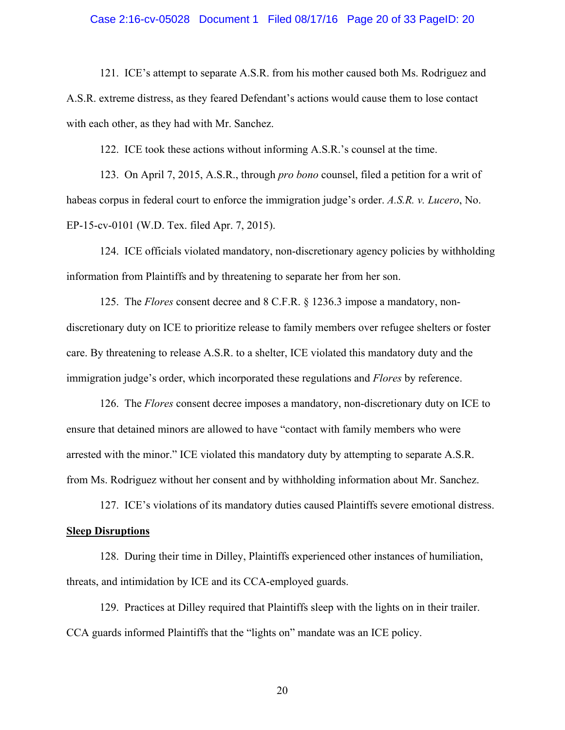## Case 2:16-cv-05028 Document 1 Filed 08/17/16 Page 20 of 33 PageID: 20

121. ICE's attempt to separate A.S.R. from his mother caused both Ms. Rodriguez and A.S.R. extreme distress, as they feared Defendant's actions would cause them to lose contact with each other, as they had with Mr. Sanchez.

122. ICE took these actions without informing A.S.R.'s counsel at the time.

123. On April 7, 2015, A.S.R., through *pro bono* counsel, filed a petition for a writ of habeas corpus in federal court to enforce the immigration judge's order. *A.S.R. v. Lucero*, No. EP-15-cv-0101 (W.D. Tex. filed Apr. 7, 2015).

124. ICE officials violated mandatory, non-discretionary agency policies by withholding information from Plaintiffs and by threatening to separate her from her son.

125. The *Flores* consent decree and 8 C.F.R. § 1236.3 impose a mandatory, nondiscretionary duty on ICE to prioritize release to family members over refugee shelters or foster care. By threatening to release A.S.R. to a shelter, ICE violated this mandatory duty and the immigration judge's order, which incorporated these regulations and *Flores* by reference.

126. The *Flores* consent decree imposes a mandatory, non-discretionary duty on ICE to ensure that detained minors are allowed to have "contact with family members who were arrested with the minor." ICE violated this mandatory duty by attempting to separate A.S.R. from Ms. Rodriguez without her consent and by withholding information about Mr. Sanchez.

127. ICE's violations of its mandatory duties caused Plaintiffs severe emotional distress. **Sleep Disruptions**

128. During their time in Dilley, Plaintiffs experienced other instances of humiliation, threats, and intimidation by ICE and its CCA-employed guards.

129. Practices at Dilley required that Plaintiffs sleep with the lights on in their trailer. CCA guards informed Plaintiffs that the "lights on" mandate was an ICE policy.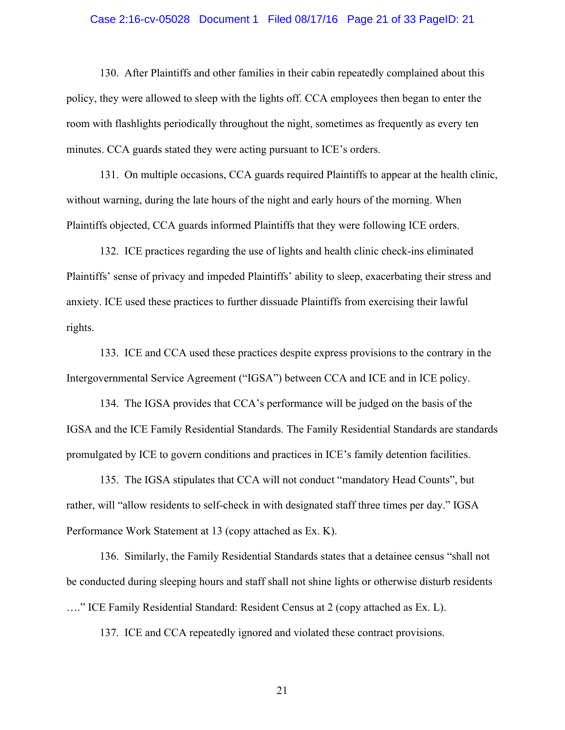## Case 2:16-cv-05028 Document 1 Filed 08/17/16 Page 21 of 33 PageID: 21

130. After Plaintiffs and other families in their cabin repeatedly complained about this policy, they were allowed to sleep with the lights off. CCA employees then began to enter the room with flashlights periodically throughout the night, sometimes as frequently as every ten minutes. CCA guards stated they were acting pursuant to ICE's orders.

131. On multiple occasions, CCA guards required Plaintiffs to appear at the health clinic, without warning, during the late hours of the night and early hours of the morning. When Plaintiffs objected, CCA guards informed Plaintiffs that they were following ICE orders.

132. ICE practices regarding the use of lights and health clinic check-ins eliminated Plaintiffs' sense of privacy and impeded Plaintiffs' ability to sleep, exacerbating their stress and anxiety. ICE used these practices to further dissuade Plaintiffs from exercising their lawful rights.

133. ICE and CCA used these practices despite express provisions to the contrary in the Intergovernmental Service Agreement ("IGSA") between CCA and ICE and in ICE policy.

134. The IGSA provides that CCA's performance will be judged on the basis of the IGSA and the ICE Family Residential Standards. The Family Residential Standards are standards promulgated by ICE to govern conditions and practices in ICE's family detention facilities.

135. The IGSA stipulates that CCA will not conduct "mandatory Head Counts", but rather, will "allow residents to self-check in with designated staff three times per day." IGSA Performance Work Statement at 13 (copy attached as Ex. K).

136. Similarly, the Family Residential Standards states that a detainee census "shall not be conducted during sleeping hours and staff shall not shine lights or otherwise disturb residents

…." ICE Family Residential Standard: Resident Census at 2 (copy attached as Ex. L).

137. ICE and CCA repeatedly ignored and violated these contract provisions.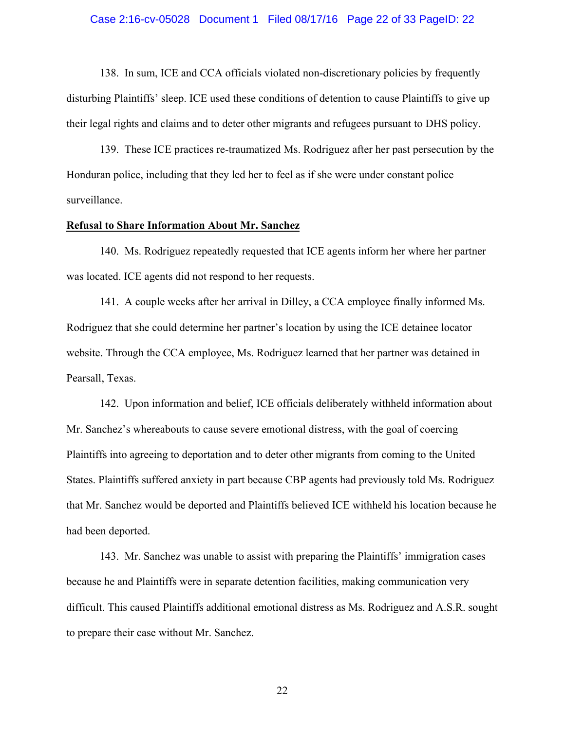## Case 2:16-cv-05028 Document 1 Filed 08/17/16 Page 22 of 33 PageID: 22

138. In sum, ICE and CCA officials violated non-discretionary policies by frequently disturbing Plaintiffs' sleep. ICE used these conditions of detention to cause Plaintiffs to give up their legal rights and claims and to deter other migrants and refugees pursuant to DHS policy.

139. These ICE practices re-traumatized Ms. Rodriguez after her past persecution by the Honduran police, including that they led her to feel as if she were under constant police surveillance.

# **Refusal to Share Information About Mr. Sanchez**

140. Ms. Rodriguez repeatedly requested that ICE agents inform her where her partner was located. ICE agents did not respond to her requests.

141. A couple weeks after her arrival in Dilley, a CCA employee finally informed Ms. Rodriguez that she could determine her partner's location by using the ICE detainee locator website. Through the CCA employee, Ms. Rodriguez learned that her partner was detained in Pearsall, Texas.

142. Upon information and belief, ICE officials deliberately withheld information about Mr. Sanchez's whereabouts to cause severe emotional distress, with the goal of coercing Plaintiffs into agreeing to deportation and to deter other migrants from coming to the United States. Plaintiffs suffered anxiety in part because CBP agents had previously told Ms. Rodriguez that Mr. Sanchez would be deported and Plaintiffs believed ICE withheld his location because he had been deported.

143. Mr. Sanchez was unable to assist with preparing the Plaintiffs' immigration cases because he and Plaintiffs were in separate detention facilities, making communication very difficult. This caused Plaintiffs additional emotional distress as Ms. Rodriguez and A.S.R. sought to prepare their case without Mr. Sanchez.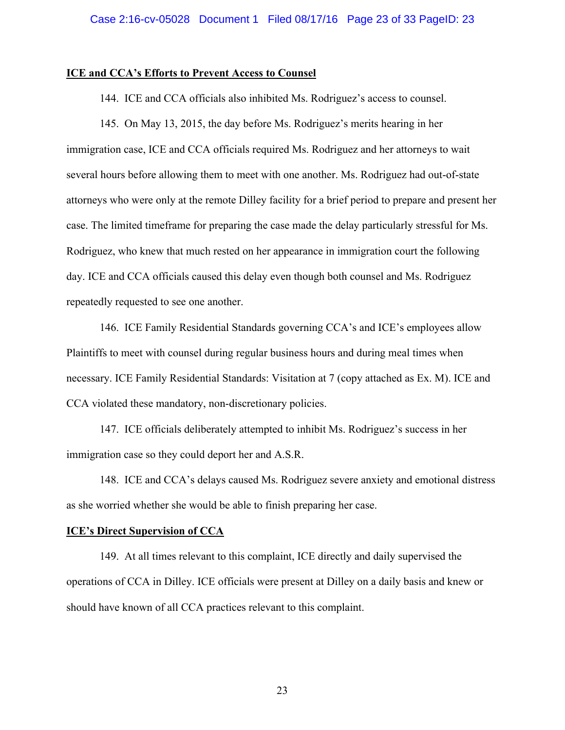## **ICE and CCA's Efforts to Prevent Access to Counsel**

144. ICE and CCA officials also inhibited Ms. Rodriguez's access to counsel.

145. On May 13, 2015, the day before Ms. Rodriguez's merits hearing in her immigration case, ICE and CCA officials required Ms. Rodriguez and her attorneys to wait several hours before allowing them to meet with one another. Ms. Rodriguez had out-of-state attorneys who were only at the remote Dilley facility for a brief period to prepare and present her case. The limited timeframe for preparing the case made the delay particularly stressful for Ms. Rodriguez, who knew that much rested on her appearance in immigration court the following day. ICE and CCA officials caused this delay even though both counsel and Ms. Rodriguez repeatedly requested to see one another.

146. ICE Family Residential Standards governing CCA's and ICE's employees allow Plaintiffs to meet with counsel during regular business hours and during meal times when necessary. ICE Family Residential Standards: Visitation at 7 (copy attached as Ex. M). ICE and CCA violated these mandatory, non-discretionary policies.

147. ICE officials deliberately attempted to inhibit Ms. Rodriguez's success in her immigration case so they could deport her and A.S.R.

148. ICE and CCA's delays caused Ms. Rodriguez severe anxiety and emotional distress as she worried whether she would be able to finish preparing her case.

#### **ICE's Direct Supervision of CCA**

149. At all times relevant to this complaint, ICE directly and daily supervised the operations of CCA in Dilley. ICE officials were present at Dilley on a daily basis and knew or should have known of all CCA practices relevant to this complaint.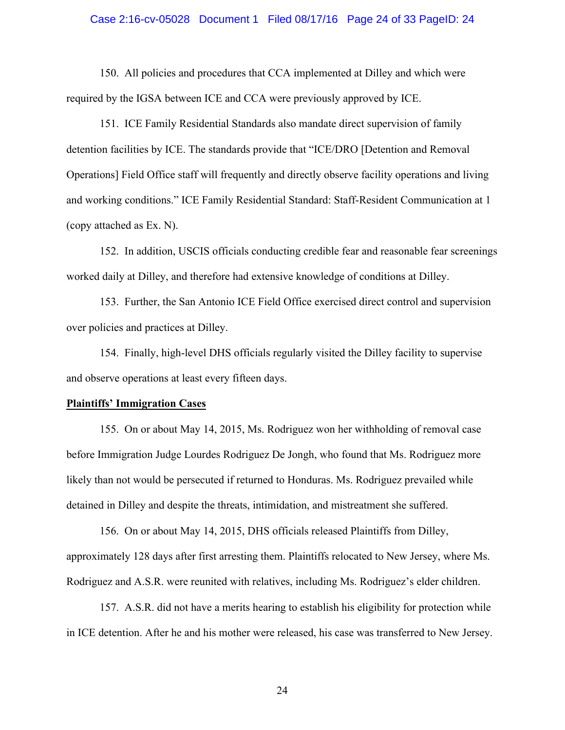## Case 2:16-cv-05028 Document 1 Filed 08/17/16 Page 24 of 33 PageID: 24

150. All policies and procedures that CCA implemented at Dilley and which were required by the IGSA between ICE and CCA were previously approved by ICE.

151. ICE Family Residential Standards also mandate direct supervision of family detention facilities by ICE. The standards provide that "ICE/DRO [Detention and Removal Operations] Field Office staff will frequently and directly observe facility operations and living and working conditions." ICE Family Residential Standard: Staff-Resident Communication at 1 (copy attached as Ex. N).

152. In addition, USCIS officials conducting credible fear and reasonable fear screenings worked daily at Dilley, and therefore had extensive knowledge of conditions at Dilley.

153. Further, the San Antonio ICE Field Office exercised direct control and supervision over policies and practices at Dilley.

154. Finally, high-level DHS officials regularly visited the Dilley facility to supervise and observe operations at least every fifteen days.

#### **Plaintiffs' Immigration Cases**

155. On or about May 14, 2015, Ms. Rodriguez won her withholding of removal case before Immigration Judge Lourdes Rodriguez De Jongh, who found that Ms. Rodriguez more likely than not would be persecuted if returned to Honduras. Ms. Rodriguez prevailed while detained in Dilley and despite the threats, intimidation, and mistreatment she suffered.

156. On or about May 14, 2015, DHS officials released Plaintiffs from Dilley, approximately 128 days after first arresting them. Plaintiffs relocated to New Jersey, where Ms. Rodriguez and A.S.R. were reunited with relatives, including Ms. Rodriguez's elder children.

157. A.S.R. did not have a merits hearing to establish his eligibility for protection while in ICE detention. After he and his mother were released, his case was transferred to New Jersey.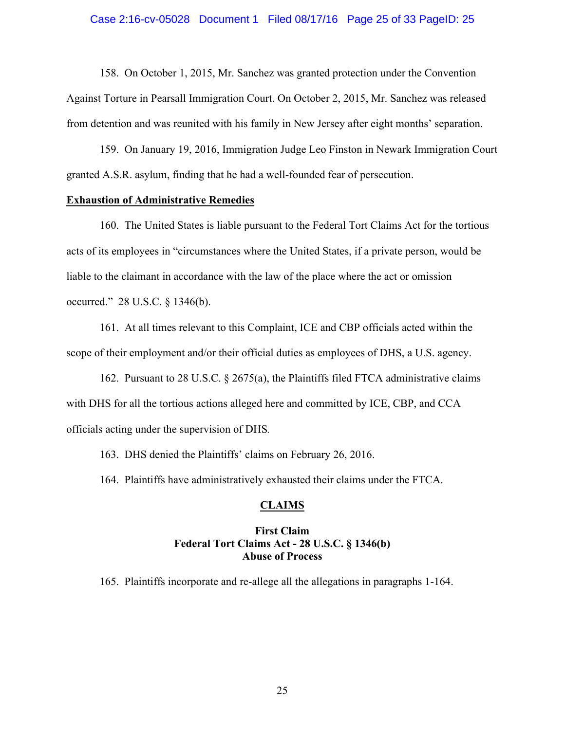## Case 2:16-cv-05028 Document 1 Filed 08/17/16 Page 25 of 33 PageID: 25

158. On October 1, 2015, Mr. Sanchez was granted protection under the Convention Against Torture in Pearsall Immigration Court. On October 2, 2015, Mr. Sanchez was released from detention and was reunited with his family in New Jersey after eight months' separation.

159. On January 19, 2016, Immigration Judge Leo Finston in Newark Immigration Court granted A.S.R. asylum, finding that he had a well-founded fear of persecution.

# **Exhaustion of Administrative Remedies**

160. The United States is liable pursuant to the Federal Tort Claims Act for the tortious acts of its employees in "circumstances where the United States, if a private person, would be liable to the claimant in accordance with the law of the place where the act or omission occurred." 28 U.S.C. § 1346(b).

161. At all times relevant to this Complaint, ICE and CBP officials acted within the scope of their employment and/or their official duties as employees of DHS, a U.S. agency.

162. Pursuant to 28 U.S.C. § 2675(a), the Plaintiffs filed FTCA administrative claims with DHS for all the tortious actions alleged here and committed by ICE, CBP, and CCA officials acting under the supervision of DHS*.*

163. DHS denied the Plaintiffs' claims on February 26, 2016.

164. Plaintiffs have administratively exhausted their claims under the FTCA.

# **CLAIMS**

# **First Claim Federal Tort Claims Act - 28 U.S.C. § 1346(b) Abuse of Process**

165. Plaintiffs incorporate and re-allege all the allegations in paragraphs 1-164.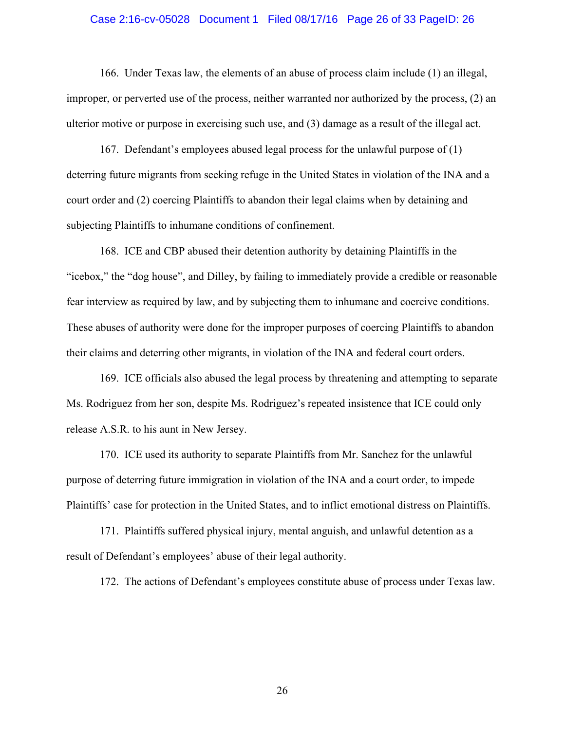#### Case 2:16-cv-05028 Document 1 Filed 08/17/16 Page 26 of 33 PageID: 26

166. Under Texas law, the elements of an abuse of process claim include (1) an illegal, improper, or perverted use of the process, neither warranted nor authorized by the process, (2) an ulterior motive or purpose in exercising such use, and (3) damage as a result of the illegal act.

167. Defendant's employees abused legal process for the unlawful purpose of (1) deterring future migrants from seeking refuge in the United States in violation of the INA and a court order and (2) coercing Plaintiffs to abandon their legal claims when by detaining and subjecting Plaintiffs to inhumane conditions of confinement.

168. ICE and CBP abused their detention authority by detaining Plaintiffs in the "icebox," the "dog house", and Dilley, by failing to immediately provide a credible or reasonable fear interview as required by law, and by subjecting them to inhumane and coercive conditions. These abuses of authority were done for the improper purposes of coercing Plaintiffs to abandon their claims and deterring other migrants, in violation of the INA and federal court orders.

169. ICE officials also abused the legal process by threatening and attempting to separate Ms. Rodriguez from her son, despite Ms. Rodriguez's repeated insistence that ICE could only release A.S.R. to his aunt in New Jersey.

170. ICE used its authority to separate Plaintiffs from Mr. Sanchez for the unlawful purpose of deterring future immigration in violation of the INA and a court order, to impede Plaintiffs' case for protection in the United States, and to inflict emotional distress on Plaintiffs.

171. Plaintiffs suffered physical injury, mental anguish, and unlawful detention as a result of Defendant's employees' abuse of their legal authority.

172. The actions of Defendant's employees constitute abuse of process under Texas law.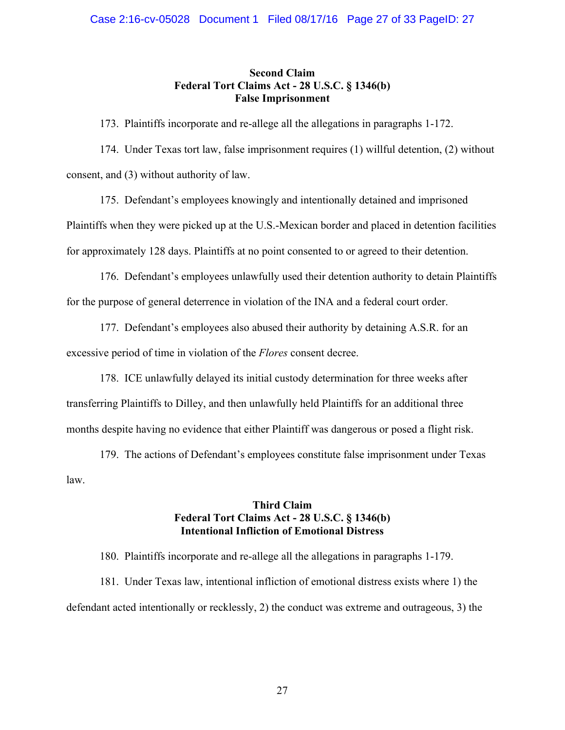# **Second Claim Federal Tort Claims Act - 28 U.S.C. § 1346(b) False Imprisonment**

173. Plaintiffs incorporate and re-allege all the allegations in paragraphs 1-172.

174. Under Texas tort law, false imprisonment requires (1) willful detention, (2) without consent, and (3) without authority of law.

175. Defendant's employees knowingly and intentionally detained and imprisoned Plaintiffs when they were picked up at the U.S.-Mexican border and placed in detention facilities for approximately 128 days. Plaintiffs at no point consented to or agreed to their detention.

176. Defendant's employees unlawfully used their detention authority to detain Plaintiffs for the purpose of general deterrence in violation of the INA and a federal court order.

177. Defendant's employees also abused their authority by detaining A.S.R. for an excessive period of time in violation of the *Flores* consent decree.

178. ICE unlawfully delayed its initial custody determination for three weeks after transferring Plaintiffs to Dilley, and then unlawfully held Plaintiffs for an additional three months despite having no evidence that either Plaintiff was dangerous or posed a flight risk.

179. The actions of Defendant's employees constitute false imprisonment under Texas law.

# **Third Claim Federal Tort Claims Act - 28 U.S.C. § 1346(b) Intentional Infliction of Emotional Distress**

180. Plaintiffs incorporate and re-allege all the allegations in paragraphs 1-179.

181. Under Texas law, intentional infliction of emotional distress exists where 1) the defendant acted intentionally or recklessly, 2) the conduct was extreme and outrageous, 3) the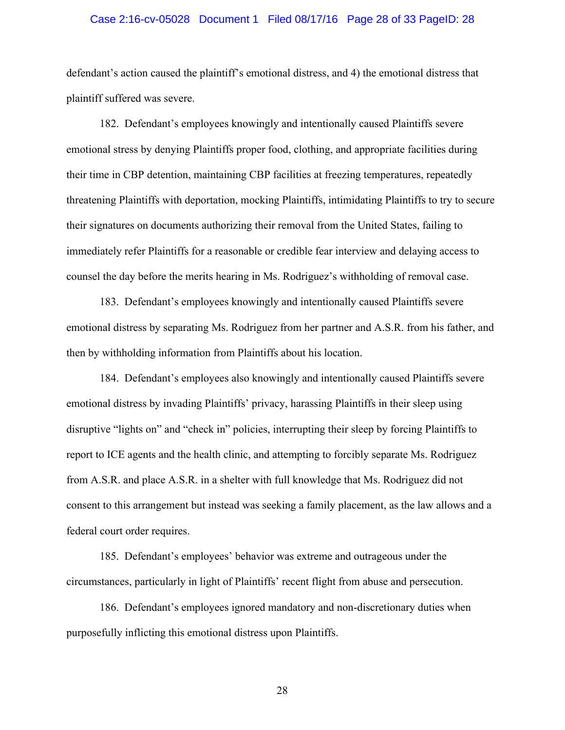#### Case 2:16-cv-05028 Document 1 Filed 08/17/16 Page 28 of 33 PageID: 28

defendant's action caused the plaintiff's emotional distress, and 4) the emotional distress that plaintiff suffered was severe.

182. Defendant's employees knowingly and intentionally caused Plaintiffs severe emotional stress by denying Plaintiffs proper food, clothing, and appropriate facilities during their time in CBP detention, maintaining CBP facilities at freezing temperatures, repeatedly threatening Plaintiffs with deportation, mocking Plaintiffs, intimidating Plaintiffs to try to secure their signatures on documents authorizing their removal from the United States, failing to immediately refer Plaintiffs for a reasonable or credible fear interview and delaying access to counsel the day before the merits hearing in Ms. Rodriguez's withholding of removal case.

183. Defendant's employees knowingly and intentionally caused Plaintiffs severe emotional distress by separating Ms. Rodriguez from her partner and A.S.R. from his father, and then by withholding information from Plaintiffs about his location.

184. Defendant's employees also knowingly and intentionally caused Plaintiffs severe emotional distress by invading Plaintiffs' privacy, harassing Plaintiffs in their sleep using disruptive "lights on" and "check in" policies, interrupting their sleep by forcing Plaintiffs to report to ICE agents and the health clinic, and attempting to forcibly separate Ms. Rodriguez from A.S.R. and place A.S.R. in a shelter with full knowledge that Ms. Rodriguez did not consent to this arrangement but instead was seeking a family placement, as the law allows and a federal court order requires.

185. Defendant's employees' behavior was extreme and outrageous under the circumstances, particularly in light of Plaintiffs' recent flight from abuse and persecution.

186. Defendant's employees ignored mandatory and non-discretionary duties when purposefully inflicting this emotional distress upon Plaintiffs.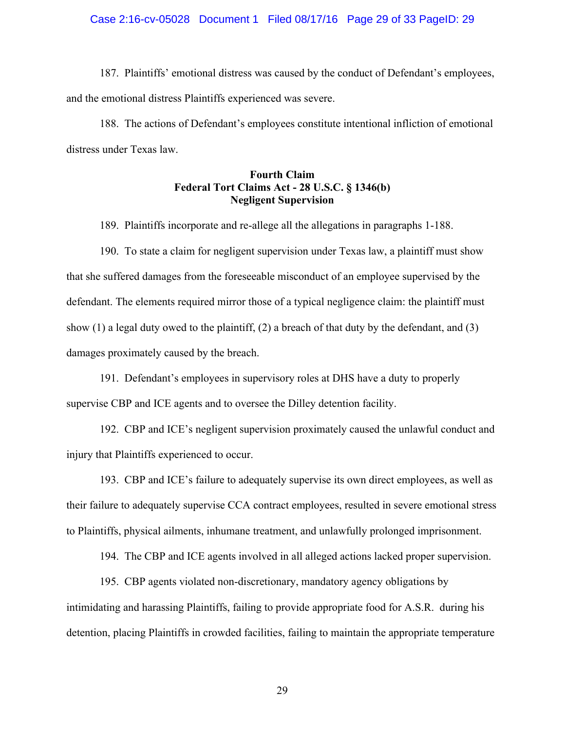#### Case 2:16-cv-05028 Document 1 Filed 08/17/16 Page 29 of 33 PageID: 29

187. Plaintiffs' emotional distress was caused by the conduct of Defendant's employees, and the emotional distress Plaintiffs experienced was severe.

188. The actions of Defendant's employees constitute intentional infliction of emotional distress under Texas law.

# **Fourth Claim Federal Tort Claims Act - 28 U.S.C. § 1346(b) Negligent Supervision**

189. Plaintiffs incorporate and re-allege all the allegations in paragraphs 1-188.

190. To state a claim for negligent supervision under Texas law, a plaintiff must show that she suffered damages from the foreseeable misconduct of an employee supervised by the defendant. The elements required mirror those of a typical negligence claim: the plaintiff must show  $(1)$  a legal duty owed to the plaintiff,  $(2)$  a breach of that duty by the defendant, and  $(3)$ damages proximately caused by the breach.

191. Defendant's employees in supervisory roles at DHS have a duty to properly supervise CBP and ICE agents and to oversee the Dilley detention facility.

192. CBP and ICE's negligent supervision proximately caused the unlawful conduct and injury that Plaintiffs experienced to occur.

193. CBP and ICE's failure to adequately supervise its own direct employees, as well as their failure to adequately supervise CCA contract employees, resulted in severe emotional stress to Plaintiffs, physical ailments, inhumane treatment, and unlawfully prolonged imprisonment.

194. The CBP and ICE agents involved in all alleged actions lacked proper supervision.

195. CBP agents violated non-discretionary, mandatory agency obligations by intimidating and harassing Plaintiffs, failing to provide appropriate food for A.S.R. during his detention, placing Plaintiffs in crowded facilities, failing to maintain the appropriate temperature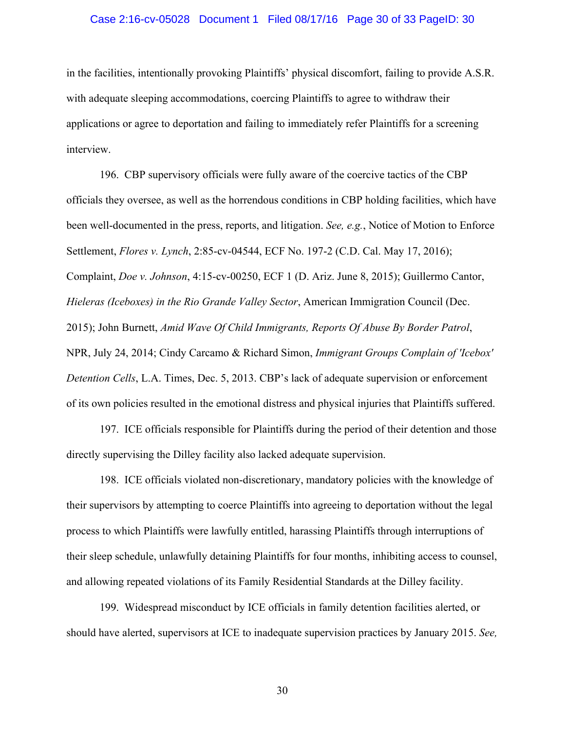#### Case 2:16-cv-05028 Document 1 Filed 08/17/16 Page 30 of 33 PageID: 30

in the facilities, intentionally provoking Plaintiffs' physical discomfort, failing to provide A.S.R. with adequate sleeping accommodations, coercing Plaintiffs to agree to withdraw their applications or agree to deportation and failing to immediately refer Plaintiffs for a screening interview.

196. CBP supervisory officials were fully aware of the coercive tactics of the CBP officials they oversee, as well as the horrendous conditions in CBP holding facilities, which have been well-documented in the press, reports, and litigation. *See, e.g.*, Notice of Motion to Enforce Settlement, *Flores v. Lynch*, 2:85-cv-04544, ECF No. 197-2 (C.D. Cal. May 17, 2016); Complaint, *Doe v. Johnson*, 4:15-cv-00250, ECF 1 (D. Ariz. June 8, 2015); Guillermo Cantor, *Hieleras (Iceboxes) in the Rio Grande Valley Sector*, American Immigration Council (Dec. 2015); John Burnett, *Amid Wave Of Child Immigrants, Reports Of Abuse By Border Patrol*, NPR, July 24, 2014; Cindy Carcamo & Richard Simon, *Immigrant Groups Complain of 'Icebox' Detention Cells*, L.A. Times, Dec. 5, 2013. CBP's lack of adequate supervision or enforcement of its own policies resulted in the emotional distress and physical injuries that Plaintiffs suffered.

197. ICE officials responsible for Plaintiffs during the period of their detention and those directly supervising the Dilley facility also lacked adequate supervision.

198. ICE officials violated non-discretionary, mandatory policies with the knowledge of their supervisors by attempting to coerce Plaintiffs into agreeing to deportation without the legal process to which Plaintiffs were lawfully entitled, harassing Plaintiffs through interruptions of their sleep schedule, unlawfully detaining Plaintiffs for four months, inhibiting access to counsel, and allowing repeated violations of its Family Residential Standards at the Dilley facility.

199. Widespread misconduct by ICE officials in family detention facilities alerted, or should have alerted, supervisors at ICE to inadequate supervision practices by January 2015. *See,*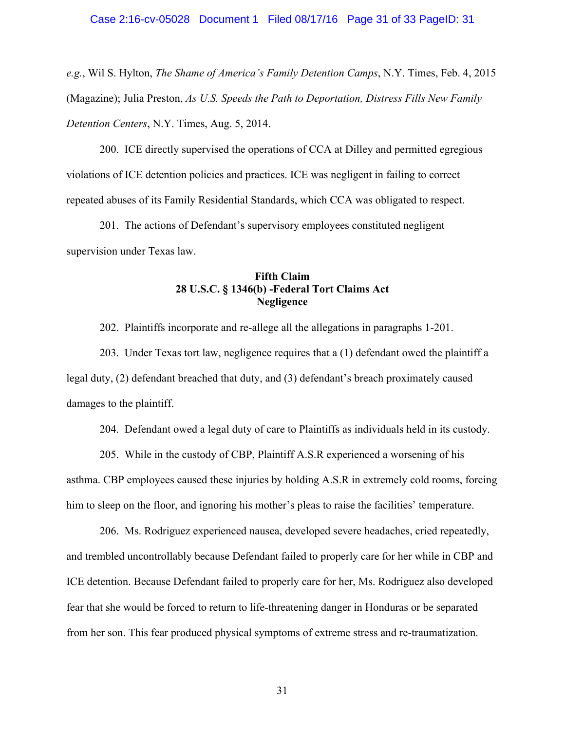## Case 2:16-cv-05028 Document 1 Filed 08/17/16 Page 31 of 33 PageID: 31

*e.g.*, Wil S. Hylton, *The Shame of America's Family Detention Camps*, N.Y. Times, Feb. 4, 2015 (Magazine); Julia Preston, *As U.S. Speeds the Path to Deportation, Distress Fills New Family Detention Centers*, N.Y. Times, Aug. 5, 2014.

200. ICE directly supervised the operations of CCA at Dilley and permitted egregious violations of ICE detention policies and practices. ICE was negligent in failing to correct repeated abuses of its Family Residential Standards, which CCA was obligated to respect.

201. The actions of Defendant's supervisory employees constituted negligent supervision under Texas law.

# **Fifth Claim 28 U.S.C. § 1346(b) -Federal Tort Claims Act Negligence**

202. Plaintiffs incorporate and re-allege all the allegations in paragraphs 1-201.

203. Under Texas tort law, negligence requires that a (1) defendant owed the plaintiff a legal duty, (2) defendant breached that duty, and (3) defendant's breach proximately caused damages to the plaintiff.

204. Defendant owed a legal duty of care to Plaintiffs as individuals held in its custody.

205. While in the custody of CBP, Plaintiff A.S.R experienced a worsening of his asthma. CBP employees caused these injuries by holding A.S.R in extremely cold rooms, forcing him to sleep on the floor, and ignoring his mother's pleas to raise the facilities' temperature.

206. Ms. Rodriguez experienced nausea, developed severe headaches, cried repeatedly, and trembled uncontrollably because Defendant failed to properly care for her while in CBP and ICE detention. Because Defendant failed to properly care for her, Ms. Rodriguez also developed fear that she would be forced to return to life-threatening danger in Honduras or be separated from her son. This fear produced physical symptoms of extreme stress and re-traumatization.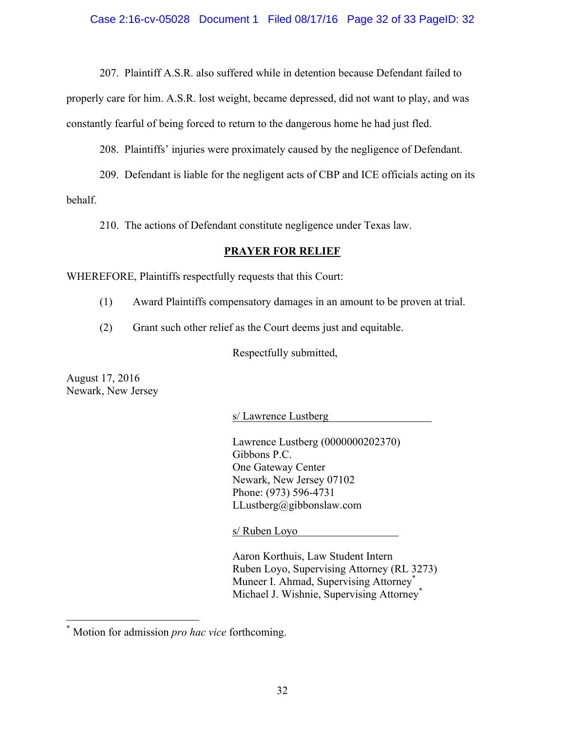207. Plaintiff A.S.R. also suffered while in detention because Defendant failed to

properly care for him. A.S.R. lost weight, became depressed, did not want to play, and was constantly fearful of being forced to return to the dangerous home he had just fled.

208. Plaintiffs' injuries were proximately caused by the negligence of Defendant.

209. Defendant is liable for the negligent acts of CBP and ICE officials acting on its behalf.

210. The actions of Defendant constitute negligence under Texas law.

# **PRAYER FOR RELIEF**

WHEREFORE, Plaintiffs respectfully requests that this Court:

- (1) Award Plaintiffs compensatory damages in an amount to be proven at trial.
- (2) Grant such other relief as the Court deems just and equitable.

Respectfully submitted,

August 17, 2016 Newark, New Jersey

s/ Lawrence Lustberg

Lawrence Lustberg (0000000202370) Gibbons P.C. One Gateway Center Newark, New Jersey 07102 Phone: (973) 596-4731 LLustberg@gibbonslaw.com

s/ Ruben Loyo

Aaron Korthuis, Law Student Intern Ruben Loyo, Supervising Attorney (RL 3273) Muneer I. Ahmad, Supervising Attorney<sup>\*</sup> Michael J. Wishnie, Supervising Attorney<sup>\*</sup>

Motion for admission *pro hac vice* forthcoming.